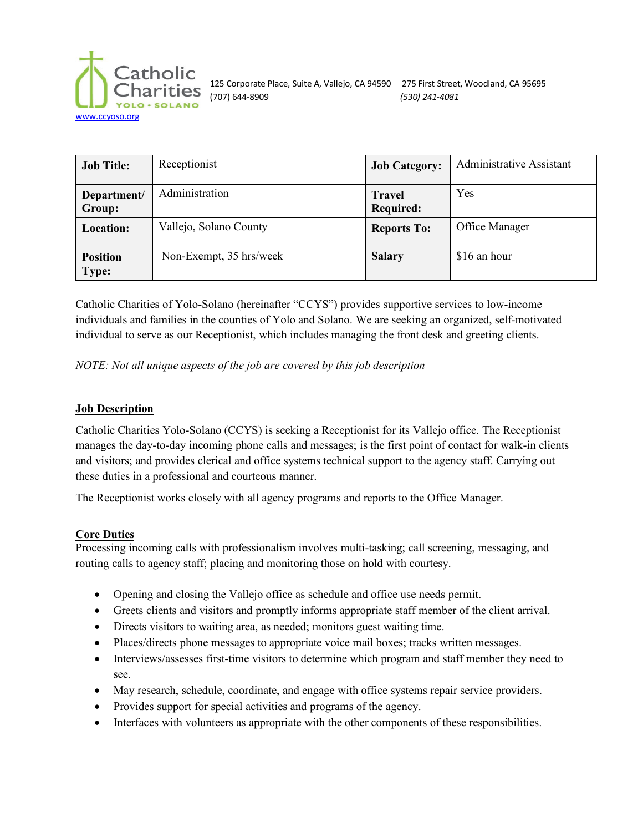

125 Corporate Place, Suite A, Vallejo, CA 94590 275 First Street, Woodland, CA 95695 (707) 644-8909 *(530) 241-4081*

| <b>Job Title:</b>               | Receptionist            | <b>Job Category:</b>              | <b>Administrative Assistant</b> |
|---------------------------------|-------------------------|-----------------------------------|---------------------------------|
| Department/<br>Group:           | Administration          | <b>Travel</b><br><b>Required:</b> | Yes                             |
| Location:                       | Vallejo, Solano County  | <b>Reports To:</b>                | Office Manager                  |
| <b>Position</b><br><b>Type:</b> | Non-Exempt, 35 hrs/week | <b>Salary</b>                     | \$16 an hour                    |

Catholic Charities of Yolo-Solano (hereinafter "CCYS") provides supportive services to low-income individuals and families in the counties of Yolo and Solano. We are seeking an organized, self-motivated individual to serve as our Receptionist, which includes managing the front desk and greeting clients.

*NOTE: Not all unique aspects of the job are covered by this job description*

#### **Job Description**

Catholic Charities Yolo-Solano (CCYS) is seeking a Receptionist for its Vallejo office. The Receptionist manages the day-to-day incoming phone calls and messages; is the first point of contact for walk-in clients and visitors; and provides clerical and office systems technical support to the agency staff. Carrying out these duties in a professional and courteous manner.

The Receptionist works closely with all agency programs and reports to the Office Manager.

#### **Core Duties**

Processing incoming calls with professionalism involves multi-tasking; call screening, messaging, and routing calls to agency staff; placing and monitoring those on hold with courtesy.

- Opening and closing the Vallejo office as schedule and office use needs permit.
- Greets clients and visitors and promptly informs appropriate staff member of the client arrival.
- Directs visitors to waiting area, as needed; monitors guest waiting time.
- Places/directs phone messages to appropriate voice mail boxes; tracks written messages.
- Interviews/assesses first-time visitors to determine which program and staff member they need to see.
- May research, schedule, coordinate, and engage with office systems repair service providers.
- Provides support for special activities and programs of the agency.
- Interfaces with volunteers as appropriate with the other components of these responsibilities.